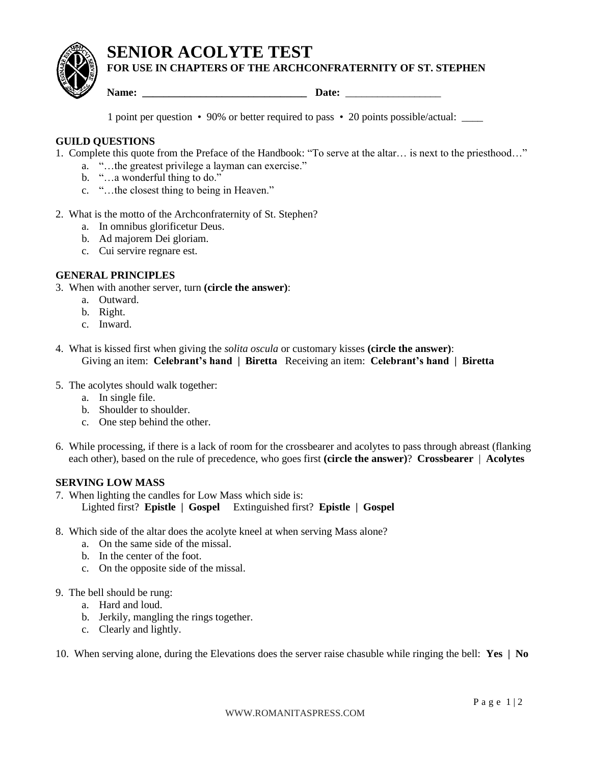**SENIOR ACOLYTE TEST**



**FOR USE IN CHAPTERS OF THE ARCHCONFRATERNITY OF ST. STEPHEN**

**Name: \_\_\_\_\_\_\_\_\_\_\_\_\_\_\_\_\_\_\_\_\_\_\_\_\_\_\_\_\_\_\_ Date:** \_\_\_\_\_\_\_\_\_\_\_\_\_\_\_\_\_\_

1 point per question • 90% or better required to pass • 20 points possible/actual: \_\_\_\_

# **GUILD QUESTIONS**

- 1. Complete this quote from the Preface of the Handbook: "To serve at the altar… is next to the priesthood…"
	- a. "…the greatest privilege a layman can exercise."
	- b. "...a wonderful thing to do."
	- c. "…the closest thing to being in Heaven."
- 2. What is the motto of the Archconfraternity of St. Stephen?
	- a. In omnibus glorificetur Deus.
	- b. Ad majorem Dei gloriam.
	- c. Cui servire regnare est.

## **GENERAL PRINCIPLES**

- 3. When with another server, turn **(circle the answer)**:
	- a. Outward.
	- b. Right.
	- c. Inward.
- 4. What is kissed first when giving the *solita oscula* or customary kisses **(circle the answer)**: Giving an item: **Celebrant's hand | Biretta** Receiving an item: **Celebrant's hand | Biretta**
- 5. The acolytes should walk together:
	- a. In single file.
	- b. Shoulder to shoulder.
	- c. One step behind the other.
- 6. While processing, if there is a lack of room for the crossbearer and acolytes to pass through abreast (flanking each other), based on the rule of precedence, who goes first **(circle the answer)**? **Crossbearer** | **Acolytes**

### **SERVING LOW MASS**

- 7. When lighting the candles for Low Mass which side is: Lighted first? **Epistle | Gospel** Extinguished first? **Epistle | Gospel**
- 8. Which side of the altar does the acolyte kneel at when serving Mass alone?
	- a. On the same side of the missal.
	- b. In the center of the foot.
	- c. On the opposite side of the missal.
- 9. The bell should be rung:
	- a. Hard and loud.
	- b. Jerkily, mangling the rings together.
	- c. Clearly and lightly.
- 10. When serving alone, during the Elevations does the server raise chasuble while ringing the bell: **Yes | No**